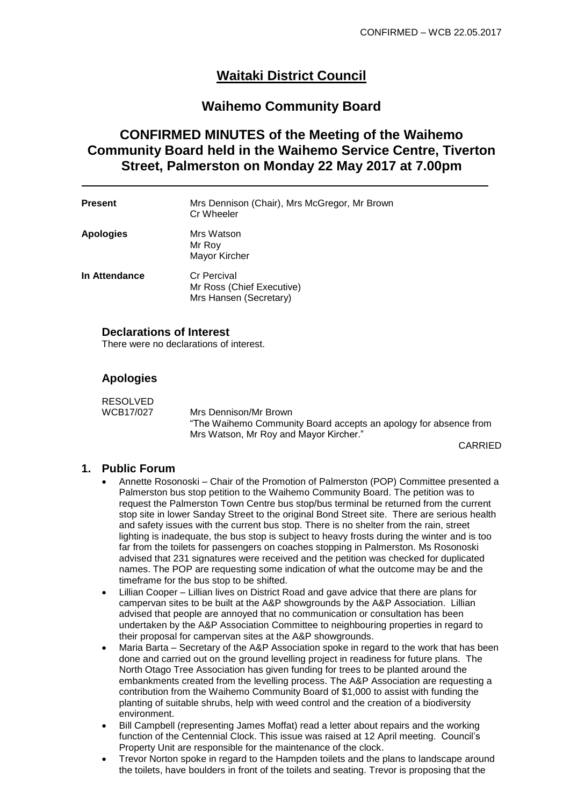# **Waitaki District Council**

## **Waihemo Community Board**

# **CONFIRMED MINUTES of the Meeting of the Waihemo Community Board held in the Waihemo Service Centre, Tiverton Street, Palmerston on Monday 22 May 2017 at 7.00pm**

| <b>Present</b>   | Mrs Dennison (Chair), Mrs McGregor, Mr Brown<br>Cr Wheeler                |
|------------------|---------------------------------------------------------------------------|
| <b>Apologies</b> | Mrs Watson<br>Mr Roy<br>Mayor Kircher                                     |
| In Attendance    | <b>Cr Percival</b><br>Mr Ross (Chief Executive)<br>Mrs Hansen (Secretary) |

#### **Declarations of Interest**

There were no declarations of interest.

## **Apologies**

RESOLVED<br>WCB17/027 Mrs Dennison/Mr Brown "The Waihemo Community Board accepts an apology for absence from Mrs Watson, Mr Roy and Mayor Kircher."

CARRIED

#### **1. Public Forum**

- Annette Rosonoski Chair of the Promotion of Palmerston (POP) Committee presented a Palmerston bus stop petition to the Waihemo Community Board. The petition was to request the Palmerston Town Centre bus stop/bus terminal be returned from the current stop site in lower Sanday Street to the original Bond Street site. There are serious health and safety issues with the current bus stop. There is no shelter from the rain, street lighting is inadequate, the bus stop is subject to heavy frosts during the winter and is too far from the toilets for passengers on coaches stopping in Palmerston. Ms Rosonoski advised that 231 signatures were received and the petition was checked for duplicated names. The POP are requesting some indication of what the outcome may be and the timeframe for the bus stop to be shifted.
- Lillian Cooper Lillian lives on District Road and gave advice that there are plans for campervan sites to be built at the A&P showgrounds by the A&P Association. Lillian advised that people are annoyed that no communication or consultation has been undertaken by the A&P Association Committee to neighbouring properties in regard to their proposal for campervan sites at the A&P showgrounds.
- Maria Barta Secretary of the A&P Association spoke in regard to the work that has been done and carried out on the ground levelling project in readiness for future plans. The North Otago Tree Association has given funding for trees to be planted around the embankments created from the levelling process. The A&P Association are requesting a contribution from the Waihemo Community Board of \$1,000 to assist with funding the planting of suitable shrubs, help with weed control and the creation of a biodiversity environment.
- Bill Campbell (representing James Moffat) read a letter about repairs and the working function of the Centennial Clock. This issue was raised at 12 April meeting. Council's Property Unit are responsible for the maintenance of the clock.
- Trevor Norton spoke in regard to the Hampden toilets and the plans to landscape around the toilets, have boulders in front of the toilets and seating. Trevor is proposing that the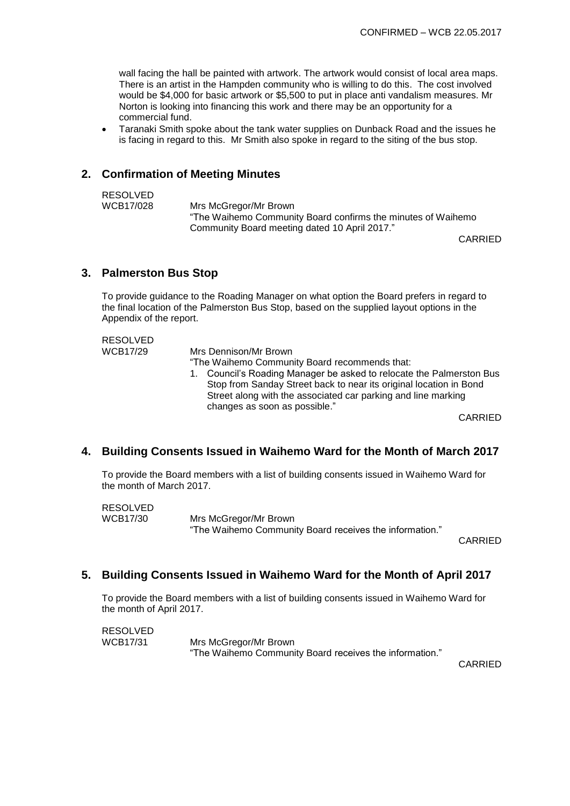wall facing the hall be painted with artwork. The artwork would consist of local area maps. There is an artist in the Hampden community who is willing to do this. The cost involved would be \$4,000 for basic artwork or \$5,500 to put in place anti vandalism measures. Mr Norton is looking into financing this work and there may be an opportunity for a commercial fund.

 Taranaki Smith spoke about the tank water supplies on Dunback Road and the issues he is facing in regard to this. Mr Smith also spoke in regard to the siting of the bus stop.

## **2. Confirmation of Meeting Minutes**

| RESOLVED  |                                                              |
|-----------|--------------------------------------------------------------|
| WCB17/028 | Mrs McGregor/Mr Brown                                        |
|           | "The Waihemo Community Board confirms the minutes of Waihemo |
|           | Community Board meeting dated 10 April 2017."                |

CARRIED

#### **3. Palmerston Bus Stop**

To provide guidance to the Roading Manager on what option the Board prefers in regard to the final location of the Palmerston Bus Stop, based on the supplied layout options in the Appendix of the report.

| Mrs Dennison/Mr Brown<br>"The Waihemo Community Board recommends that:<br>1. Council's Roading Manager be asked to relocate the Palmerston Bus<br>Stop from Sanday Street back to near its original location in Bond |         |
|----------------------------------------------------------------------------------------------------------------------------------------------------------------------------------------------------------------------|---------|
| Street along with the associated car parking and line marking<br>changes as soon as possible."                                                                                                                       | CARRIED |
|                                                                                                                                                                                                                      |         |

#### **4. Building Consents Issued in Waihemo Ward for the Month of March 2017**

To provide the Board members with a list of building consents issued in Waihemo Ward for the month of March 2017.

| RESOLVED        |                                                         |
|-----------------|---------------------------------------------------------|
| <b>WCB17/30</b> | Mrs McGregor/Mr Brown                                   |
|                 | "The Waihemo Community Board receives the information." |

CARRIED

## **5. Building Consents Issued in Waihemo Ward for the Month of April 2017**

To provide the Board members with a list of building consents issued in Waihemo Ward for the month of April 2017.

RESOLVED WCB17/31 Mrs McGregor/Mr Brown "The Waihemo Community Board receives the information."

CARRIED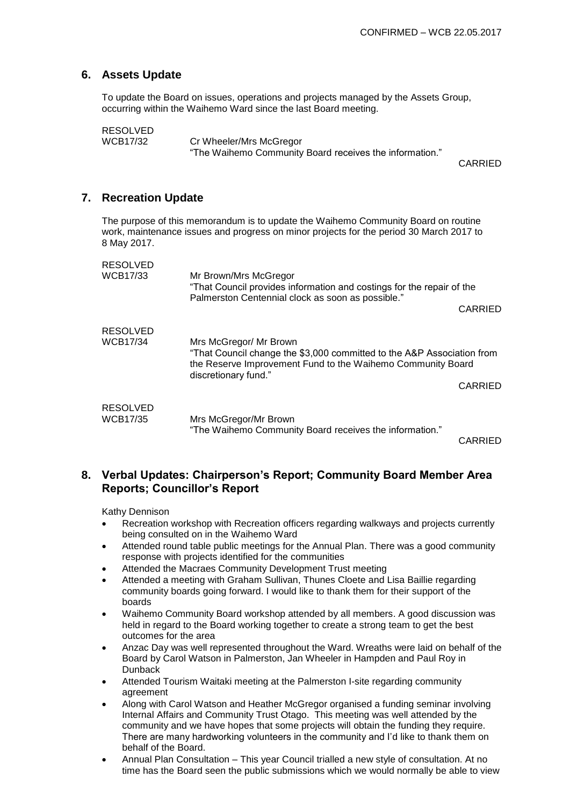#### **6. Assets Update**

To update the Board on issues, operations and projects managed by the Assets Group, occurring within the Waihemo Ward since the last Board meeting.

```
RESOLVED<br>WCB17/32
```
Cr Wheeler/Mrs McGregor "The Waihemo Community Board receives the information."

CARRIED

#### **7. Recreation Update**

The purpose of this memorandum is to update the Waihemo Community Board on routine work, maintenance issues and progress on minor projects for the period 30 March 2017 to 8 May 2017.

| <b>RESOLVED</b><br><b>WCB17/33</b> | Mr Brown/Mrs McGregor<br>"That Council provides information and costings for the repair of the<br>Palmerston Centennial clock as soon as possible."                                     |                |
|------------------------------------|-----------------------------------------------------------------------------------------------------------------------------------------------------------------------------------------|----------------|
|                                    |                                                                                                                                                                                         | CARRIED        |
| <b>RESOLVED</b><br><b>WCB17/34</b> | Mrs McGregor/ Mr Brown<br>"That Council change the \$3,000 committed to the A&P Association from<br>the Reserve Improvement Fund to the Waihemo Community Board<br>discretionary fund." | CARRIED        |
| <b>RESOLVED</b><br><b>WCB17/35</b> | Mrs McGregor/Mr Brown<br>"The Waihemo Community Board receives the information."                                                                                                        | <b>CADDIED</b> |

CARRIED

#### **8. Verbal Updates: Chairperson's Report; Community Board Member Area Reports; Councillor's Report**

Kathy Dennison

- Recreation workshop with Recreation officers regarding walkways and projects currently being consulted on in the Waihemo Ward
- Attended round table public meetings for the Annual Plan. There was a good community response with projects identified for the communities
- Attended the Macraes Community Development Trust meeting
- Attended a meeting with Graham Sullivan, Thunes Cloete and Lisa Baillie regarding community boards going forward. I would like to thank them for their support of the boards
- Waihemo Community Board workshop attended by all members. A good discussion was held in regard to the Board working together to create a strong team to get the best outcomes for the area
- Anzac Day was well represented throughout the Ward. Wreaths were laid on behalf of the Board by Carol Watson in Palmerston, Jan Wheeler in Hampden and Paul Roy in Dunback
- Attended Tourism Waitaki meeting at the Palmerston I-site regarding community agreement
- Along with Carol Watson and Heather McGregor organised a funding seminar involving Internal Affairs and Community Trust Otago. This meeting was well attended by the community and we have hopes that some projects will obtain the funding they require. There are many hardworking volunteers in the community and I'd like to thank them on behalf of the Board.
- Annual Plan Consultation This year Council trialled a new style of consultation. At no time has the Board seen the public submissions which we would normally be able to view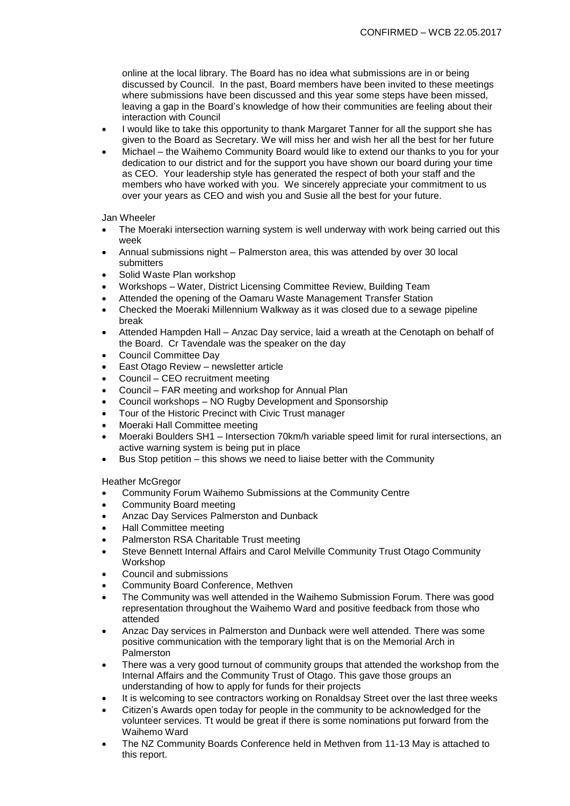online at the local library. The Board has no idea what submissions are in or being discussed by Council. In the past, Board members have been invited to these meetings where submissions have been discussed and this year some steps have been missed, leaving a gap in the Board's knowledge of how their communities are feeling about their interaction with Council

- I would like to take this opportunity to thank Margaret Tanner for all the support she has given to the Board as Secretary. We will miss her and wish her all the best for her future
- Michael the Waihemo Community Board would like to extend our thanks to you for your dedication to our district and for the support you have shown our board during your time as CEO. Your leadership style has generated the respect of both your staff and the members who have worked with you. We sincerely appreciate your commitment to us over your years as CEO and wish you and Susie all the best for your future.

Jan Wheeler

- The Moeraki intersection warning system is well underway with work being carried out this week
- Annual submissions night Palmerston area, this was attended by over 30 local submitters
- Solid Waste Plan workshop
- Workshops Water, District Licensing Committee Review, Building Team
- Attended the opening of the Oamaru Waste Management Transfer Station
- Checked the Moeraki Millennium Walkway as it was closed due to a sewage pipeline break
- Attended Hampden Hall Anzac Day service, laid a wreath at the Cenotaph on behalf of the Board. Cr Tavendale was the speaker on the day
- Council Committee Day
- East Otago Review newsletter article
- Council CEO recruitment meeting
- Council FAR meeting and workshop for Annual Plan
- Council workshops NO Rugby Development and Sponsorship
- Tour of the Historic Precinct with Civic Trust manager
- Moeraki Hall Committee meeting
- Moeraki Boulders SH1 Intersection 70km/h variable speed limit for rural intersections, an active warning system is being put in place
- Bus Stop petition this shows we need to liaise better with the Community

Heather McGregor

- Community Forum Waihemo Submissions at the Community Centre
- Community Board meeting
- Anzac Day Services Palmerston and Dunback
- Hall Committee meeting
- Palmerston RSA Charitable Trust meeting
- Steve Bennett Internal Affairs and Carol Melville Community Trust Otago Community Workshop
- Council and submissions
- Community Board Conference, Methven
- The Community was well attended in the Waihemo Submission Forum. There was good representation throughout the Waihemo Ward and positive feedback from those who attended
- Anzac Day services in Palmerston and Dunback were well attended. There was some positive communication with the temporary light that is on the Memorial Arch in Palmerston
- There was a very good turnout of community groups that attended the workshop from the Internal Affairs and the Community Trust of Otago. This gave those groups an understanding of how to apply for funds for their projects
- It is welcoming to see contractors working on Ronaldsay Street over the last three weeks
- Citizen's Awards open today for people in the community to be acknowledged for the volunteer services. Tt would be great if there is some nominations put forward from the Waihemo Ward
- The NZ Community Boards Conference held in Methven from 11-13 May is attached to this report.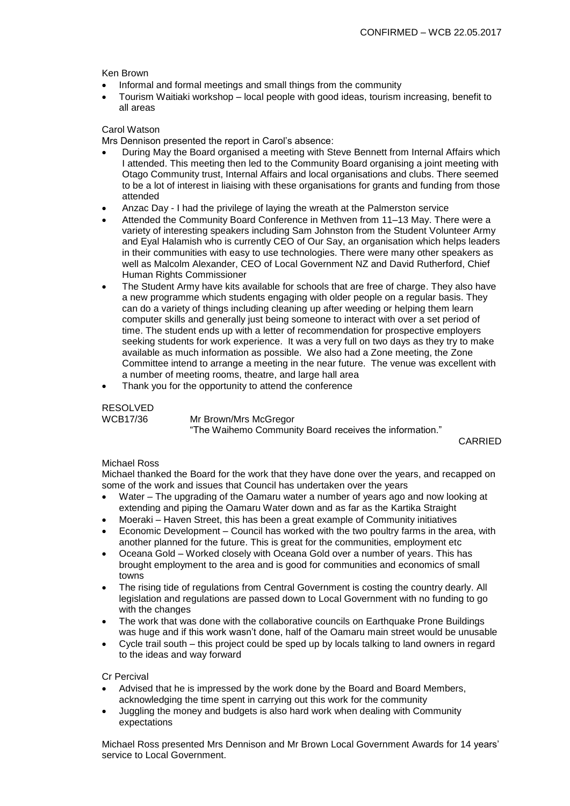#### Ken Brown

- Informal and formal meetings and small things from the community
- Tourism Waitiaki workshop local people with good ideas, tourism increasing, benefit to all areas

#### Carol Watson

Mrs Dennison presented the report in Carol's absence:

- During May the Board organised a meeting with Steve Bennett from Internal Affairs which I attended. This meeting then led to the Community Board organising a joint meeting with Otago Community trust, Internal Affairs and local organisations and clubs. There seemed to be a lot of interest in liaising with these organisations for grants and funding from those attended
- Anzac Day I had the privilege of laying the wreath at the Palmerston service
- Attended the Community Board Conference in Methven from 11–13 May. There were a variety of interesting speakers including Sam Johnston from the Student Volunteer Army and Eyal Halamish who is currently CEO of Our Say, an organisation which helps leaders in their communities with easy to use technologies. There were many other speakers as well as Malcolm Alexander, CEO of Local Government NZ and David Rutherford, Chief Human Rights Commissioner
- The Student Army have kits available for schools that are free of charge. They also have a new programme which students engaging with older people on a regular basis. They can do a variety of things including cleaning up after weeding or helping them learn computer skills and generally just being someone to interact with over a set period of time. The student ends up with a letter of recommendation for prospective employers seeking students for work experience. It was a very full on two days as they try to make available as much information as possible. We also had a Zone meeting, the Zone Committee intend to arrange a meeting in the near future. The venue was excellent with a number of meeting rooms, theatre, and large hall area
- Thank you for the opportunity to attend the conference

# RESOLVED

WCB17/36 Mr Brown/Mrs McGregor

"The Waihemo Community Board receives the information."

CARRIED

#### Michael Ross

Michael thanked the Board for the work that they have done over the years, and recapped on some of the work and issues that Council has undertaken over the years

- Water The upgrading of the Oamaru water a number of years ago and now looking at extending and piping the Oamaru Water down and as far as the Kartika Straight
- Moeraki Haven Street, this has been a great example of Community initiatives
- Economic Development Council has worked with the two poultry farms in the area, with another planned for the future. This is great for the communities, employment etc
- Oceana Gold Worked closely with Oceana Gold over a number of years. This has brought employment to the area and is good for communities and economics of small towns
- The rising tide of regulations from Central Government is costing the country dearly. All legislation and regulations are passed down to Local Government with no funding to go with the changes
- The work that was done with the collaborative councils on Earthquake Prone Buildings was huge and if this work wasn't done, half of the Oamaru main street would be unusable
- Cycle trail south this project could be sped up by locals talking to land owners in regard to the ideas and way forward

Cr Percival

- Advised that he is impressed by the work done by the Board and Board Members, acknowledging the time spent in carrying out this work for the community
- Juggling the money and budgets is also hard work when dealing with Community expectations

Michael Ross presented Mrs Dennison and Mr Brown Local Government Awards for 14 years' service to Local Government.